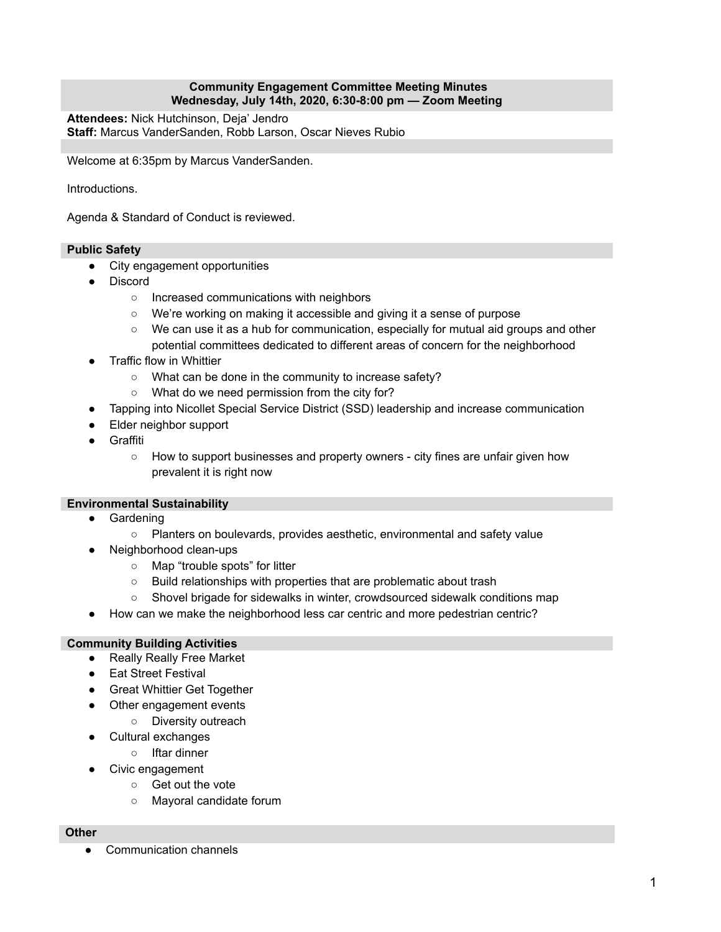# **Community Engagement Committee Meeting Minutes Wednesday, July 14th, 2020, 6:30-8:00 pm — Zoom Meeting**

**Attendees:** Nick Hutchinson, Deja' Jendro **Staff:** Marcus VanderSanden, Robb Larson, Oscar Nieves Rubio

Welcome at 6:35pm by Marcus VanderSanden.

Introductions.

Agenda & Standard of Conduct is reviewed.

# **Public Safety**

- City engagement opportunities
- **Discord** 
	- Increased communications with neighbors
	- We're working on making it accessible and giving it a sense of purpose
	- We can use it as a hub for communication, especially for mutual aid groups and other potential committees dedicated to different areas of concern for the neighborhood
- **Traffic flow in Whittier** 
	- What can be done in the community to increase safety?
	- What do we need permission from the city for?
- Tapping into Nicollet Special Service District (SSD) leadership and increase communication
- Elder neighbor support
- **Graffiti** 
	- How to support businesses and property owners city fines are unfair given how prevalent it is right now

## **Environmental Sustainability**

- Gardening
	- Planters on boulevards, provides aesthetic, environmental and safety value
- Neighborhood clean-ups
	- Map "trouble spots" for litter
	- Build relationships with properties that are problematic about trash
	- Shovel brigade for sidewalks in winter, crowdsourced sidewalk conditions map
- How can we make the neighborhood less car centric and more pedestrian centric?

## **Community Building Activities**

- Really Really Free Market
- Eat Street Festival
- Great Whittier Get Together
- Other engagement events
	- Diversity outreach
- Cultural exchanges
	- Iftar dinner
- Civic engagement
	- Get out the vote
	- Mayoral candidate forum

## **Other**

● Communication channels